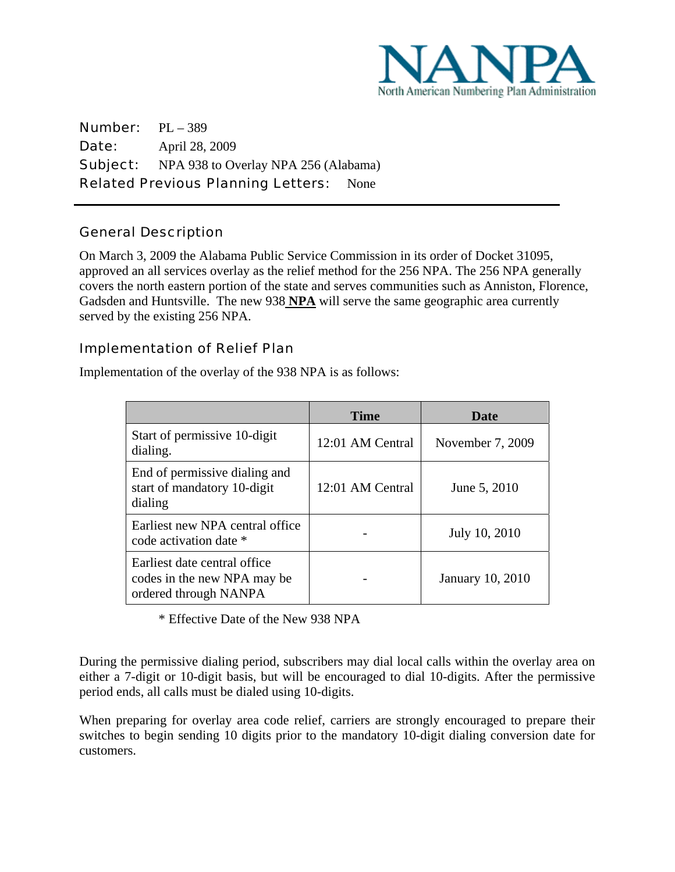

Number: PL – 389 **Date: April 28, 2009** Subject: NPA 938 to Overlay NPA 256 (Alabama) Related Previous Planning Letters: None

#### General Description

 $\overline{a}$ 

On March 3, 2009 the Alabama Public Service Commission in its order of Docket 31095, approved an all services overlay as the relief method for the 256 NPA. The 256 NPA generally covers the north eastern portion of the state and serves communities such as Anniston, Florence, Gadsden and Huntsville. The new 938 **NPA** will serve the same geographic area currently served by the existing 256 NPA.

#### Implementation of Relief Plan

Implementation of the overlay of the 938 NPA is as follows:

|                                                                                      | <b>Time</b>      | Date             |
|--------------------------------------------------------------------------------------|------------------|------------------|
| Start of permissive 10-digit<br>dialing.                                             | 12:01 AM Central | November 7, 2009 |
| End of permissive dialing and<br>start of mandatory 10-digit<br>dialing              | 12:01 AM Central | June 5, 2010     |
| Earliest new NPA central office<br>code activation date *                            |                  | July 10, 2010    |
| Earliest date central office<br>codes in the new NPA may be<br>ordered through NANPA |                  | January 10, 2010 |

\* Effective Date of the New 938 NPA

During the permissive dialing period, subscribers may dial local calls within the overlay area on either a 7-digit or 10-digit basis, but will be encouraged to dial 10-digits. After the permissive period ends, all calls must be dialed using 10-digits.

When preparing for overlay area code relief, carriers are strongly encouraged to prepare their switches to begin sending 10 digits prior to the mandatory 10-digit dialing conversion date for customers.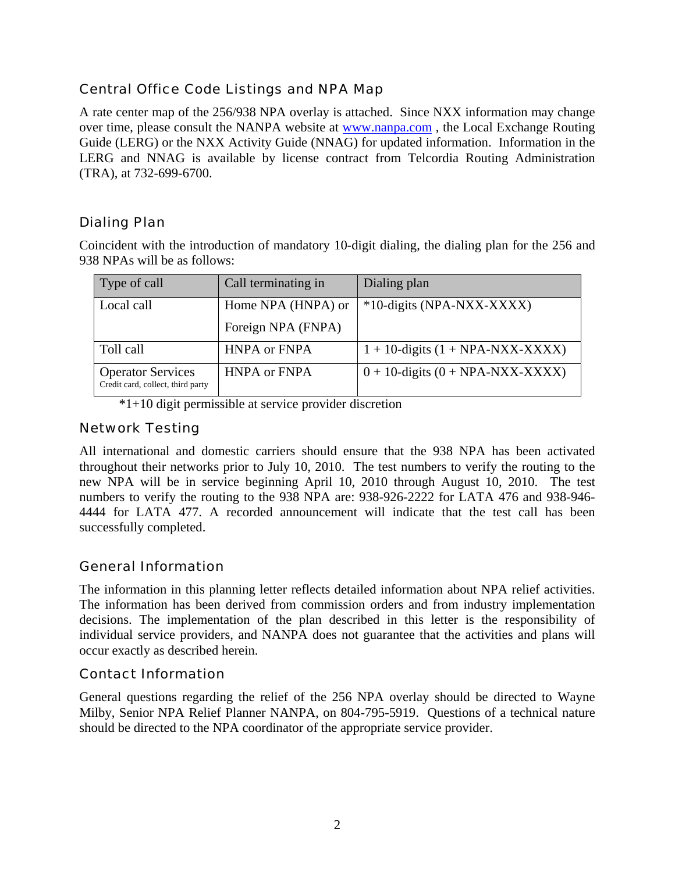### Central Office Code Listings and NPA Map

A rate center map of the 256/938 NPA overlay is attached. Since NXX information may change over time, please consult the NANPA website at www.nanpa.com , the Local Exchange Routing Guide (LERG) or the NXX Activity Guide (NNAG) for updated information. Information in the LERG and NNAG is available by license contract from Telcordia Routing Administration (TRA), at 732-699-6700.

## Dialing Plan

Coincident with the introduction of mandatory 10-digit dialing, the dialing plan for the 256 and 938 NPAs will be as follows:

| Type of call                                                  | Call terminating in | Dialing plan                          |
|---------------------------------------------------------------|---------------------|---------------------------------------|
| Local call                                                    | Home NPA (HNPA) or  | *10-digits (NPA-NXX-XXXX)             |
|                                                               | Foreign NPA (FNPA)  |                                       |
| Toll call                                                     | <b>HNPA or FNPA</b> | $1 + 10$ -digits $(1 + NPA-NXX-XXXX)$ |
| <b>Operator Services</b><br>Credit card, collect, third party | <b>HNPA or FNPA</b> | $0 + 10$ -digits $(0 + NPA-NXX-XXXX)$ |

\*1+10 digit permissible at service provider discretion

### Network Testing

All international and domestic carriers should ensure that the 938 NPA has been activated throughout their networks prior to July 10, 2010. The test numbers to verify the routing to the new NPA will be in service beginning April 10, 2010 through August 10, 2010. The test numbers to verify the routing to the 938 NPA are: 938-926-2222 for LATA 476 and 938-946- 4444 for LATA 477. A recorded announcement will indicate that the test call has been successfully completed.

### General Information

The information in this planning letter reflects detailed information about NPA relief activities. The information has been derived from commission orders and from industry implementation decisions. The implementation of the plan described in this letter is the responsibility of individual service providers, and NANPA does not guarantee that the activities and plans will occur exactly as described herein.

### Contact Information

General questions regarding the relief of the 256 NPA overlay should be directed to Wayne Milby, Senior NPA Relief Planner NANPA, on 804-795-5919. Questions of a technical nature should be directed to the NPA coordinator of the appropriate service provider.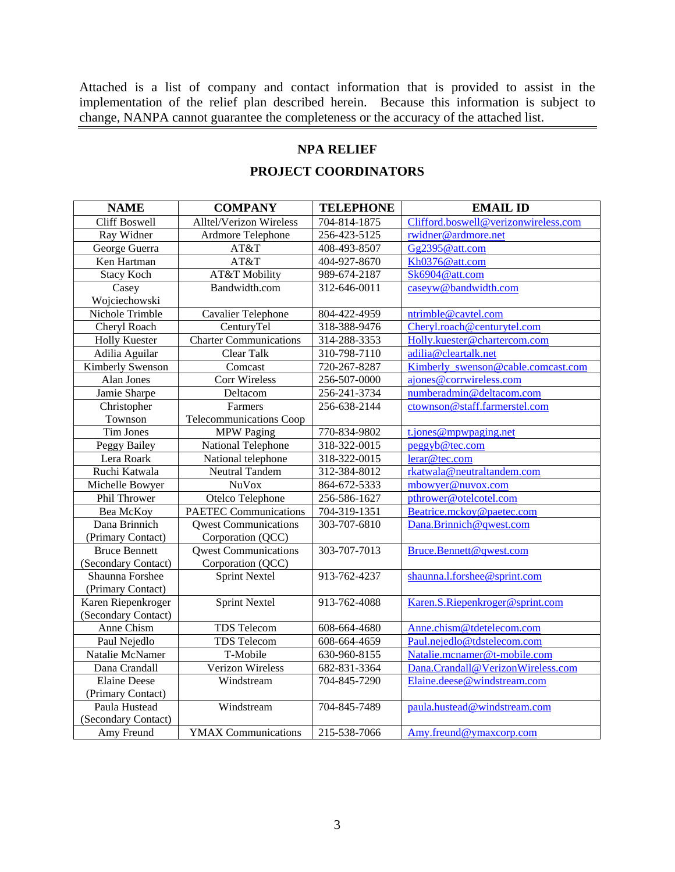Attached is a list of company and contact information that is provided to assist in the implementation of the relief plan described herein. Because this information is subject to change, NANPA cannot guarantee the completeness or the accuracy of the attached list.

## **NPA RELIEF**

#### **PROJECT COORDINATORS**

| <b>NAME</b>          | <b>COMPANY</b>                 | <b>TELEPHONE</b> | <b>EMAIL ID</b>                      |
|----------------------|--------------------------------|------------------|--------------------------------------|
| <b>Cliff Boswell</b> | <b>Alltel/Verizon Wireless</b> | 704-814-1875     | Clifford.boswell@verizonwireless.com |
| Ray Widner           | Ardmore Telephone              | 256-423-5125     | rwidner@ardmore.net                  |
| George Guerra        | AT&T                           | 408-493-8507     | Gg2395@att.com                       |
| Ken Hartman          | AT&T                           | 404-927-8670     | Kh0376@att.com                       |
| <b>Stacy Koch</b>    | AT&T Mobility                  | 989-674-2187     | Sk6904@att.com                       |
| Casey                | Bandwidth.com                  | 312-646-0011     | caseyw@bandwidth.com                 |
| Wojciechowski        |                                |                  |                                      |
| Nichole Trimble      | Cavalier Telephone             | 804-422-4959     | ntrimble@cavtel.com                  |
| Cheryl Roach         | CenturyTel                     | 318-388-9476     | Cheryl.roach@centurytel.com          |
| <b>Holly Kuester</b> | <b>Charter Communications</b>  | 314-288-3353     | Holly.kuester@chartercom.com         |
| Adilia Aguilar       | <b>Clear Talk</b>              | 310-798-7110     | adilia@cleartalk.net                 |
| Kimberly Swenson     | Comcast                        | 720-267-8287     | Kimberly swenson@cable.comcast.com   |
| Alan Jones           | <b>Corr Wireless</b>           | 256-507-0000     | ajones@corrwireless.com              |
| Jamie Sharpe         | Deltacom                       | 256-241-3734     | numberadmin@deltacom.com             |
| Christopher          | Farmers                        | 256-638-2144     | ctownson@staff.farmerstel.com        |
| Townson              | <b>Telecommunications Coop</b> |                  |                                      |
| <b>Tim Jones</b>     | <b>MPW Paging</b>              | 770-834-9802     | t.jones@mpwpaging.net                |
| Peggy Bailey         | National Telephone             | 318-322-0015     | peggyb@tec.com                       |
| Lera Roark           | National telephone             | 318-322-0015     | lerar@tec.com                        |
| Ruchi Katwala        | Neutral Tandem                 | 312-384-8012     | rkatwala@neutraltandem.com           |
| Michelle Bowyer      | <b>NuVox</b>                   | 864-672-5333     | mbowyer@nuvox.com                    |
| Phil Thrower         | Otelco Telephone               | 256-586-1627     | pthrower@otelcotel.com               |
| Bea McKoy            | <b>PAETEC Communications</b>   | 704-319-1351     | Beatrice.mckoy@paetec.com            |
| Dana Brinnich        | <b>Owest Communications</b>    | 303-707-6810     | Dana.Brinnich@qwest.com              |
| (Primary Contact)    | Corporation (QCC)              |                  |                                      |
| <b>Bruce Bennett</b> | <b>Qwest Communications</b>    | 303-707-7013     | Bruce.Bennett@qwest.com              |
| (Secondary Contact)  | Corporation (QCC)              |                  |                                      |
| Shaunna Forshee      | <b>Sprint Nextel</b>           | 913-762-4237     | shaunna.l.forshee@sprint.com         |
| (Primary Contact)    |                                |                  |                                      |
| Karen Riepenkroger   | <b>Sprint Nextel</b>           | 913-762-4088     | Karen.S.Riepenkroger@sprint.com      |
| (Secondary Contact)  |                                |                  |                                      |
| Anne Chism           | <b>TDS</b> Telecom             | 608-664-4680     | Anne.chism@tdetelecom.com            |
| Paul Nejedlo         | TDS Telecom                    | 608-664-4659     | Paul.nejedlo@tdstelecom.com          |
| Natalie McNamer      | T-Mobile                       | 630-960-8155     | Natalie.mcnamer@t-mobile.com         |
| Dana Crandall        | Verizon Wireless               | 682-831-3364     | Dana.Crandall@VerizonWireless.com    |
| <b>Elaine Deese</b>  | Windstream                     | 704-845-7290     | Elaine.deese@windstream.com          |
| (Primary Contact)    |                                |                  |                                      |
| Paula Hustead        | Windstream                     | 704-845-7489     | paula.hustead@windstream.com         |
| (Secondary Contact)  |                                |                  |                                      |
| Amy Freund           | <b>YMAX Communications</b>     | 215-538-7066     | Amy.freund@ymaxcorp.com              |